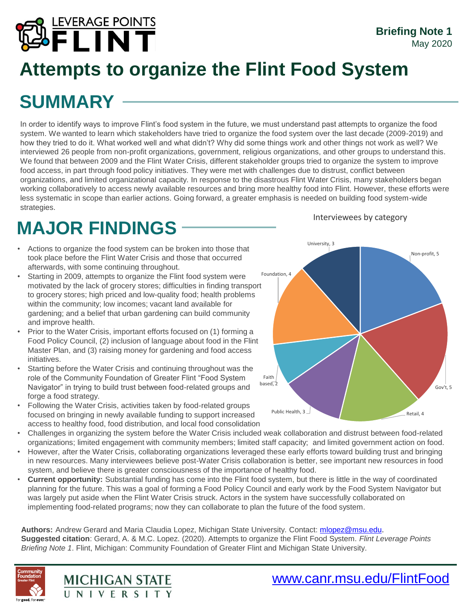

## **Attempts to organize the Flint Food System**

# **SUMMARY**

In order to identify ways to improve Flint's food system in the future, we must understand past attempts to organize the food system. We wanted to learn which stakeholders have tried to organize the food system over the last decade (2009-2019) and how they tried to do it. What worked well and what didn't? Why did some things work and other things not work as well? We interviewed 26 people from non-profit organizations, government, religious organizations, and other groups to understand this. We found that between 2009 and the Flint Water Crisis, different stakeholder groups tried to organize the system to improve food access, in part through food policy initiatives. They were met with challenges due to distrust, conflict between organizations, and limited organizational capacity. In response to the disastrous Flint Water Crisis, many stakeholders began working collaboratively to access newly available resources and bring more healthy food into Flint. However, these efforts were less systematic in scope than earlier actions. Going forward, a greater emphasis is needed on building food system-wide strategies.

## **MAJOR FINDINGS**

- Actions to organize the food system can be broken into those that took place before the Flint Water Crisis and those that occurred afterwards, with some continuing throughout.
- Starting in 2009, attempts to organize the Flint food system were motivated by the lack of grocery stores; difficulties in finding transport to grocery stores; high priced and low-quality food; health problems within the community; low incomes; vacant land available for gardening; and a belief that urban gardening can build community and improve health.
- Prior to the Water Crisis, important efforts focused on (1) forming a Food Policy Council, (2) inclusion of language about food in the Flint Master Plan, and (3) raising money for gardening and food access initiatives.
- Starting before the Water Crisis and continuing throughout was the role of the Community Foundation of Greater Flint "Food System Navigator" in trying to build trust between food-related groups and forge a food strategy.
- Following the Water Crisis, activities taken by food-related groups focused on bringing in newly available funding to support increased access to healthy food, food distribution, and local food consolidation

**MICHIGAN STATE** NIVERSITY

- Challenges in organizing the system before the Water Crisis included weak collaboration and distrust between food-related organizations; limited engagement with community members; limited staff capacity; and limited government action on food.
- However, after the Water Crisis, collaborating organizations leveraged these early efforts toward building trust and bringing in new resources. Many interviewees believe post-Water Crisis collaboration is better, see important new resources in food system, and believe there is greater consciousness of the importance of healthy food.
- **Current opportunity:** Substantial funding has come into the Flint food system, but there is little in the way of coordinated planning for the future. This was a goal of forming a Food Policy Council and early work by the Food System Navigator but was largely put aside when the Flint Water Crisis struck. Actors in the system have successfully collaborated on implementing food-related programs; now they can collaborate to plan the future of the food system.

**Authors:** Andrew Gerard and Maria Claudia Lopez, Michigan State University. Contact: [mlopez@msu.edu.](mailto:mlopez@msu.edu) **Suggested citation**: Gerard, A. & M.C. Lopez. (2020). Attempts to organize the Flint Food System. *Flint Leverage Points Briefing Note 1*. Flint, Michigan: Community Foundation of Greater Flint and Michigan State University.



#### Interviewees by category